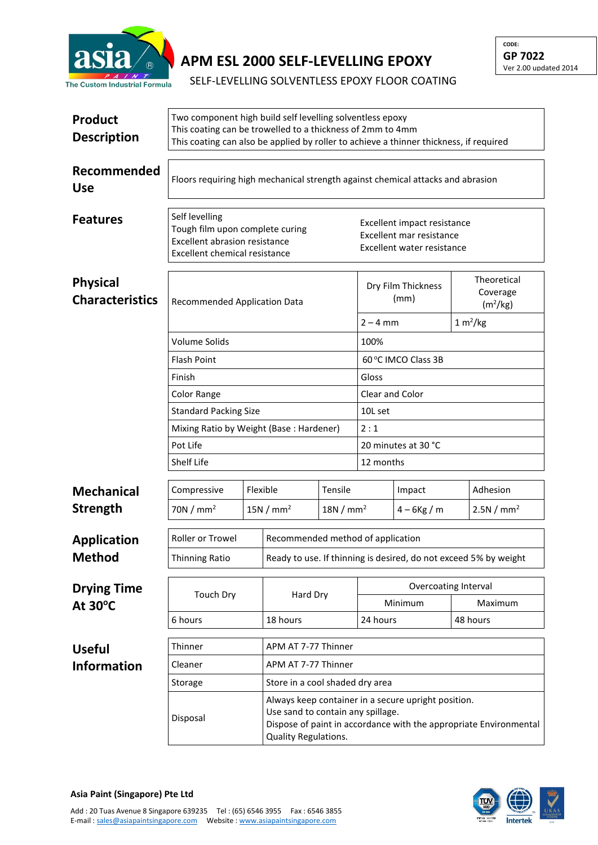

## **APM ESL 2000 SELF-LEVELLING EPOXY**

**CODE: GP 7022** Ver 2.00 updated 2014

SELF-LEVELLING SOLVENTLESS EPOXY FLOOR COATING

| <b>Product</b><br><b>Description</b>      | Two component high build self levelling solventless epoxy<br>This coating can be trowelled to a thickness of 2mm to 4mm<br>This coating can also be applied by roller to achieve a thinner thickness, if required |                                   |                                                                                                                                                                                       |                     |                                                                                       |                |                                                 |  |  |
|-------------------------------------------|-------------------------------------------------------------------------------------------------------------------------------------------------------------------------------------------------------------------|-----------------------------------|---------------------------------------------------------------------------------------------------------------------------------------------------------------------------------------|---------------------|---------------------------------------------------------------------------------------|----------------|-------------------------------------------------|--|--|
| Recommended<br><b>Use</b>                 | Floors requiring high mechanical strength against chemical attacks and abrasion                                                                                                                                   |                                   |                                                                                                                                                                                       |                     |                                                                                       |                |                                                 |  |  |
| <b>Features</b>                           | Self levelling<br>Tough film upon complete curing<br><b>Excellent abrasion resistance</b><br><b>Excellent chemical resistance</b>                                                                                 |                                   |                                                                                                                                                                                       |                     | Excellent impact resistance<br>Excellent mar resistance<br>Excellent water resistance |                |                                                 |  |  |
| <b>Physical</b><br><b>Characteristics</b> | <b>Recommended Application Data</b>                                                                                                                                                                               |                                   |                                                                                                                                                                                       |                     | Dry Film Thickness<br>(mm)                                                            |                | Theoretical<br>Coverage<br>(m <sup>2</sup> /kg) |  |  |
|                                           |                                                                                                                                                                                                                   |                                   |                                                                                                                                                                                       |                     | $2 - 4$ mm                                                                            |                | 1 m <sup>2</sup> /kg                            |  |  |
|                                           | Volume Solids                                                                                                                                                                                                     |                                   |                                                                                                                                                                                       |                     | 100%                                                                                  |                |                                                 |  |  |
|                                           | <b>Flash Point</b>                                                                                                                                                                                                |                                   |                                                                                                                                                                                       |                     | 60°C IMCO Class 3B                                                                    |                |                                                 |  |  |
|                                           | Finish                                                                                                                                                                                                            |                                   |                                                                                                                                                                                       |                     | Gloss                                                                                 |                |                                                 |  |  |
|                                           | Color Range                                                                                                                                                                                                       |                                   |                                                                                                                                                                                       |                     | <b>Clear and Color</b>                                                                |                |                                                 |  |  |
|                                           | <b>Standard Packing Size</b>                                                                                                                                                                                      |                                   |                                                                                                                                                                                       |                     | 10L set                                                                               |                |                                                 |  |  |
|                                           | Mixing Ratio by Weight (Base: Hardener)                                                                                                                                                                           |                                   |                                                                                                                                                                                       |                     | 2:1                                                                                   |                |                                                 |  |  |
|                                           | Pot Life                                                                                                                                                                                                          |                                   |                                                                                                                                                                                       |                     | 20 minutes at 30 °C<br>12 months                                                      |                |                                                 |  |  |
|                                           | Shelf Life                                                                                                                                                                                                        |                                   |                                                                                                                                                                                       |                     |                                                                                       |                |                                                 |  |  |
| <b>Mechanical</b>                         | Compressive                                                                                                                                                                                                       | Flexible                          |                                                                                                                                                                                       | Tensile             |                                                                                       | Impact         | Adhesion                                        |  |  |
| <b>Strength</b>                           | 70N/mm <sup>2</sup>                                                                                                                                                                                               |                                   | 15N/mm <sup>2</sup><br>18N/mm <sup>2</sup>                                                                                                                                            |                     |                                                                                       | $4 - 6$ Kg / m | 2.5N/mm <sup>2</sup>                            |  |  |
| <b>Application</b>                        | Roller or Trowel                                                                                                                                                                                                  | Recommended method of application |                                                                                                                                                                                       |                     |                                                                                       |                |                                                 |  |  |
| Method                                    | Thinning Ratio                                                                                                                                                                                                    |                                   |                                                                                                                                                                                       |                     | Ready to use. If thinning is desired, do not exceed 5% by weight                      |                |                                                 |  |  |
| <b>Drying Time</b><br>At $30^{\circ}$ C   | Touch Dry<br>6 hours                                                                                                                                                                                              |                                   | Hard Dry<br>18 hours                                                                                                                                                                  |                     | Overcoating Interval                                                                  |                |                                                 |  |  |
|                                           |                                                                                                                                                                                                                   |                                   |                                                                                                                                                                                       |                     | Minimum                                                                               |                | Maximum                                         |  |  |
|                                           |                                                                                                                                                                                                                   |                                   |                                                                                                                                                                                       |                     | 24 hours                                                                              |                | 48 hours                                        |  |  |
| <b>Useful</b>                             | Thinner                                                                                                                                                                                                           |                                   |                                                                                                                                                                                       | APM AT 7-77 Thinner |                                                                                       |                |                                                 |  |  |
| <b>Information</b>                        | Cleaner                                                                                                                                                                                                           |                                   | APM AT 7-77 Thinner                                                                                                                                                                   |                     |                                                                                       |                |                                                 |  |  |
|                                           | Storage                                                                                                                                                                                                           | Store in a cool shaded dry area   |                                                                                                                                                                                       |                     |                                                                                       |                |                                                 |  |  |
|                                           | Disposal                                                                                                                                                                                                          |                                   | Always keep container in a secure upright position.<br>Use sand to contain any spillage.<br>Dispose of paint in accordance with the appropriate Environmental<br>Quality Regulations. |                     |                                                                                       |                |                                                 |  |  |



**Asia Paint (Singapore) Pte Ltd**